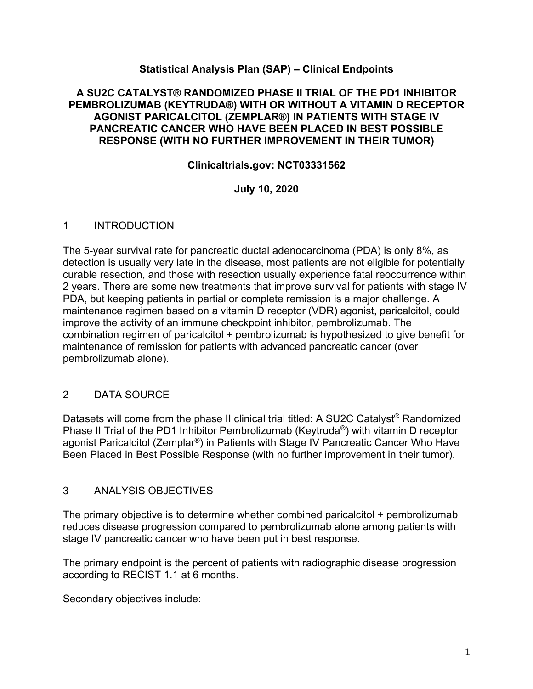# **Statistical Analysis Plan (SAP) – Clinical Endpoints**

### **A SU2C CATALYST® RANDOMIZED PHASE II TRIAL OF THE PD1 INHIBITOR PEMBROLIZUMAB (KEYTRUDA®) WITH OR WITHOUT A VITAMIN D RECEPTOR AGONIST PARICALCITOL (ZEMPLAR®) IN PATIENTS WITH STAGE IV PANCREATIC CANCER WHO HAVE BEEN PLACED IN BEST POSSIBLE RESPONSE (WITH NO FURTHER IMPROVEMENT IN THEIR TUMOR)**

## **Clinicaltrials.gov: NCT03331562**

# **July 10, 2020**

### 1 INTRODUCTION

The 5-year survival rate for pancreatic ductal adenocarcinoma (PDA) is only 8%, as detection is usually very late in the disease, most patients are not eligible for potentially curable resection, and those with resection usually experience fatal reoccurrence within 2 years. There are some new treatments that improve survival for patients with stage IV PDA, but keeping patients in partial or complete remission is a major challenge. A maintenance regimen based on a vitamin D receptor (VDR) agonist, paricalcitol, could improve the activity of an immune checkpoint inhibitor, pembrolizumab. The combination regimen of paricalcitol + pembrolizumab is hypothesized to give benefit for maintenance of remission for patients with advanced pancreatic cancer (over pembrolizumab alone).

### 2 DATA SOURCE

Datasets will come from the phase II clinical trial titled: A SU2C Catalyst<sup>®</sup> Randomized Phase II Trial of the PD1 Inhibitor Pembrolizumab (Keytruda®) with vitamin D receptor agonist Paricalcitol (Zemplar®) in Patients with Stage IV Pancreatic Cancer Who Have Been Placed in Best Possible Response (with no further improvement in their tumor).

### 3 ANALYSIS OBJECTIVES

The primary objective is to determine whether combined paricalcitol + pembrolizumab reduces disease progression compared to pembrolizumab alone among patients with stage IV pancreatic cancer who have been put in best response.

The primary endpoint is the percent of patients with radiographic disease progression according to RECIST 1.1 at 6 months.

Secondary objectives include: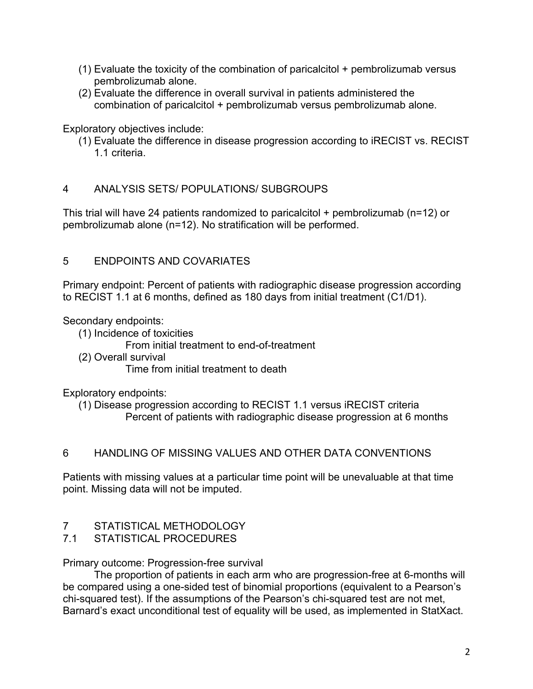- (1) Evaluate the toxicity of the combination of paricalcitol + pembrolizumab versus pembrolizumab alone.
- (2) Evaluate the difference in overall survival in patients administered the combination of paricalcitol + pembrolizumab versus pembrolizumab alone.

Exploratory objectives include:

(1) Evaluate the difference in disease progression according to iRECIST vs. RECIST 1.1 criteria.

# 4 ANALYSIS SETS/ POPULATIONS/ SUBGROUPS

This trial will have 24 patients randomized to paricalcitol + pembrolizumab (n=12) or pembrolizumab alone (n=12). No stratification will be performed.

# 5 ENDPOINTS AND COVARIATES

Primary endpoint: Percent of patients with radiographic disease progression according to RECIST 1.1 at 6 months, defined as 180 days from initial treatment (C1/D1).

Secondary endpoints:

- (1) Incidence of toxicities
	- From initial treatment to end-of-treatment
- (2) Overall survival Time from initial treatment to death

Exploratory endpoints:

(1) Disease progression according to RECIST 1.1 versus iRECIST criteria Percent of patients with radiographic disease progression at 6 months

# 6 HANDLING OF MISSING VALUES AND OTHER DATA CONVENTIONS

Patients with missing values at a particular time point will be unevaluable at that time point. Missing data will not be imputed.

- 7 STATISTICAL METHODOLOGY
- 7.1 STATISTICAL PROCEDURES

Primary outcome: Progression-free survival

The proportion of patients in each arm who are progression-free at 6-months will be compared using a one-sided test of binomial proportions (equivalent to a Pearson's chi-squared test). If the assumptions of the Pearson's chi-squared test are not met, Barnard's exact unconditional test of equality will be used, as implemented in StatXact.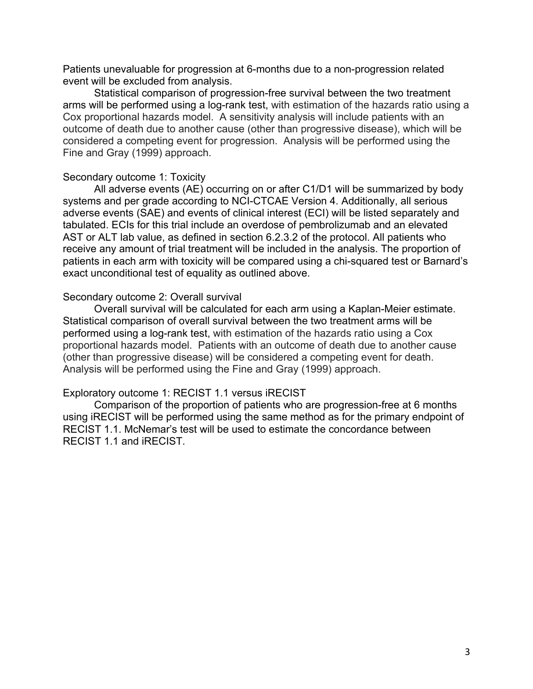Patients unevaluable for progression at 6-months due to a non-progression related event will be excluded from analysis.

Statistical comparison of progression-free survival between the two treatment arms will be performed using a log-rank test, with estimation of the hazards ratio using a Cox proportional hazards model. A sensitivity analysis will include patients with an outcome of death due to another cause (other than progressive disease), which will be considered a competing event for progression. Analysis will be performed using the Fine and Gray (1999) approach.

#### Secondary outcome 1: Toxicity

All adverse events (AE) occurring on or after C1/D1 will be summarized by body systems and per grade according to NCI-CTCAE Version 4. Additionally, all serious adverse events (SAE) and events of clinical interest (ECI) will be listed separately and tabulated. ECIs for this trial include an overdose of pembrolizumab and an elevated AST or ALT lab value, as defined in section 6.2.3.2 of the protocol. All patients who receive any amount of trial treatment will be included in the analysis. The proportion of patients in each arm with toxicity will be compared using a chi-squared test or Barnard's exact unconditional test of equality as outlined above.

#### Secondary outcome 2: Overall survival

Overall survival will be calculated for each arm using a Kaplan-Meier estimate. Statistical comparison of overall survival between the two treatment arms will be performed using a log-rank test, with estimation of the hazards ratio using a Cox proportional hazards model. Patients with an outcome of death due to another cause (other than progressive disease) will be considered a competing event for death. Analysis will be performed using the Fine and Gray (1999) approach.

#### Exploratory outcome 1: RECIST 1.1 versus iRECIST

Comparison of the proportion of patients who are progression-free at 6 months using iRECIST will be performed using the same method as for the primary endpoint of RECIST 1.1. McNemar's test will be used to estimate the concordance between RECIST 1.1 and iRECIST.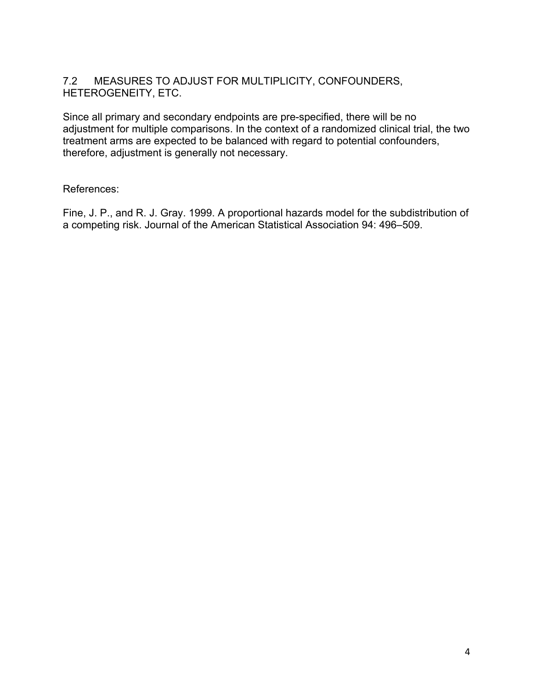# 7.2 MEASURES TO ADJUST FOR MULTIPLICITY, CONFOUNDERS, HETEROGENEITY, ETC.

Since all primary and secondary endpoints are pre-specified, there will be no adjustment for multiple comparisons. In the context of a randomized clinical trial, the two treatment arms are expected to be balanced with regard to potential confounders, therefore, adjustment is generally not necessary.

# References:

Fine, J. P., and R. J. Gray. 1999. A proportional hazards model for the subdistribution of a competing risk. Journal of the American Statistical Association 94: 496–509.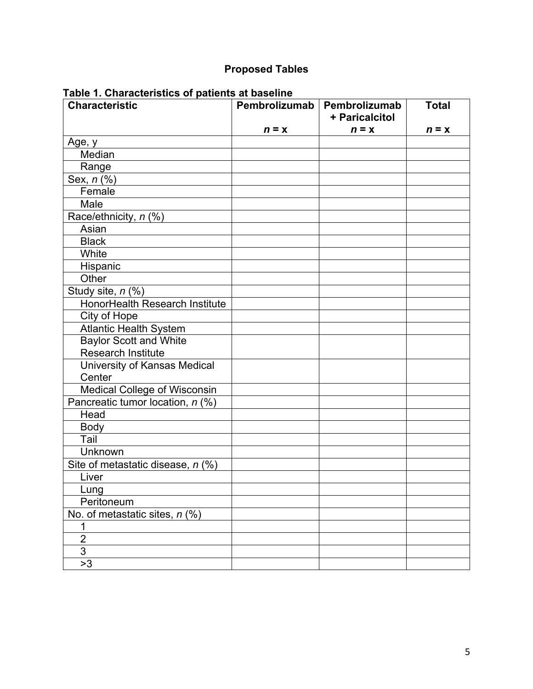# **Proposed Tables**

| <b>Characteristic</b>             |         | Pembrolizumab   Pembrolizumab<br>+ Paricalcitol | <b>Total</b> |
|-----------------------------------|---------|-------------------------------------------------|--------------|
|                                   | $n = x$ | $n = x$                                         | $n = x$      |
| Age, y                            |         |                                                 |              |
| Median                            |         |                                                 |              |
| Range                             |         |                                                 |              |
| Sex, $n(\sqrt[6]{6})$             |         |                                                 |              |
| Female                            |         |                                                 |              |
| Male                              |         |                                                 |              |
| Race/ethnicity, n (%)             |         |                                                 |              |
| Asian                             |         |                                                 |              |
| <b>Black</b>                      |         |                                                 |              |
| White                             |         |                                                 |              |
| Hispanic                          |         |                                                 |              |
| Other                             |         |                                                 |              |
| Study site, n (%)                 |         |                                                 |              |
| HonorHealth Research Institute    |         |                                                 |              |
| City of Hope                      |         |                                                 |              |
| Atlantic Health System            |         |                                                 |              |
| <b>Baylor Scott and White</b>     |         |                                                 |              |
| <b>Research Institute</b>         |         |                                                 |              |
| University of Kansas Medical      |         |                                                 |              |
| Center                            |         |                                                 |              |
| Medical College of Wisconsin      |         |                                                 |              |
| Pancreatic tumor location, n (%)  |         |                                                 |              |
| Head                              |         |                                                 |              |
| Body                              |         |                                                 |              |
| Tail                              |         |                                                 |              |
| Unknown                           |         |                                                 |              |
| Site of metastatic disease, n (%) |         |                                                 |              |
| Liver                             |         |                                                 |              |
| Lung                              |         |                                                 |              |
| Peritoneum                        |         |                                                 |              |
| No. of metastatic sites, $n$ (%)  |         |                                                 |              |
| 1                                 |         |                                                 |              |
| $\overline{2}$                    |         |                                                 |              |
| $\overline{3}$                    |         |                                                 |              |
| >3                                |         |                                                 |              |

# **Table 1. Characteristics of patients at baseline**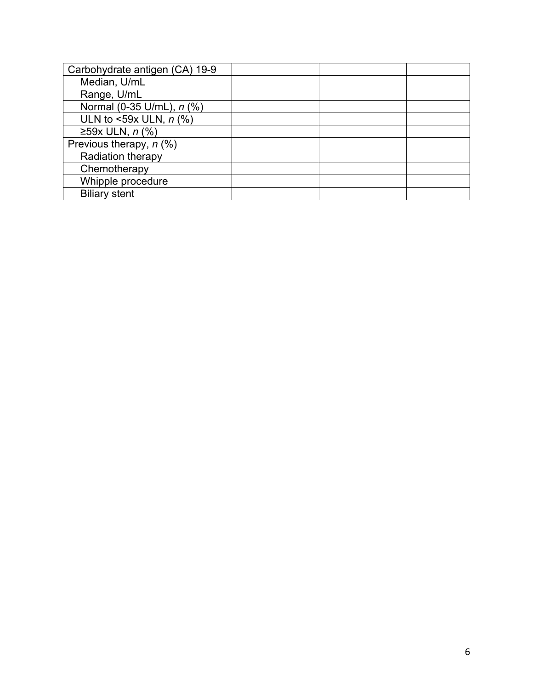| Carbohydrate antigen (CA) 19-9 |  |  |
|--------------------------------|--|--|
| Median, U/mL                   |  |  |
| Range, U/mL                    |  |  |
| Normal (0-35 U/mL), n (%)      |  |  |
| ULN to <59x ULN, $n$ (%)       |  |  |
| ≥59x ULN, $n$ (%)              |  |  |
| Previous therapy, $n$ (%)      |  |  |
| Radiation therapy              |  |  |
| Chemotherapy                   |  |  |
| Whipple procedure              |  |  |
| <b>Biliary stent</b>           |  |  |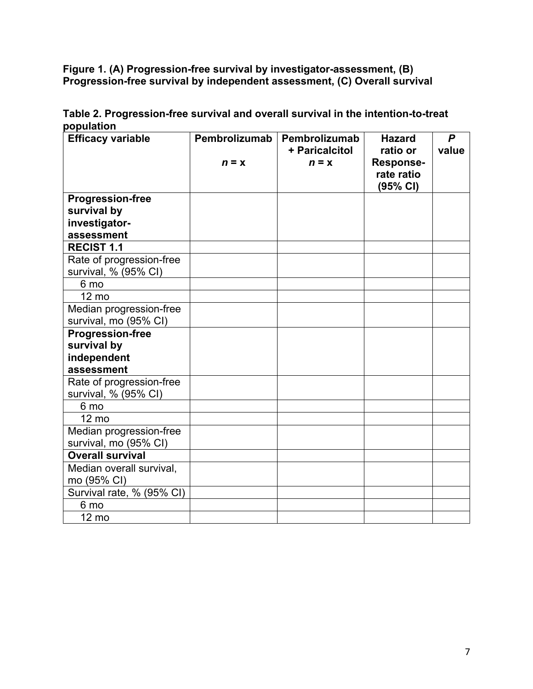**Figure 1. (A) Progression-free survival by investigator-assessment, (B) Progression-free survival by independent assessment, (C) Overall survival**

| <b>Efficacy variable</b>  | Pembrolizumab | Pembrolizumab  | <b>Hazard</b>    | $\boldsymbol{P}$ |
|---------------------------|---------------|----------------|------------------|------------------|
|                           |               | + Paricalcitol | ratio or         | value            |
|                           | $n = x$       | $n = x$        | <b>Response-</b> |                  |
|                           |               |                | rate ratio       |                  |
|                           |               |                | (95% CI)         |                  |
| <b>Progression-free</b>   |               |                |                  |                  |
| survival by               |               |                |                  |                  |
| investigator-             |               |                |                  |                  |
| assessment                |               |                |                  |                  |
| <b>RECIST 1.1</b>         |               |                |                  |                  |
| Rate of progression-free  |               |                |                  |                  |
| survival, % (95% CI)      |               |                |                  |                  |
| 6 mo                      |               |                |                  |                  |
| 12 mo                     |               |                |                  |                  |
| Median progression-free   |               |                |                  |                  |
| survival, mo (95% CI)     |               |                |                  |                  |
| <b>Progression-free</b>   |               |                |                  |                  |
| survival by               |               |                |                  |                  |
| independent               |               |                |                  |                  |
| assessment                |               |                |                  |                  |
| Rate of progression-free  |               |                |                  |                  |
| survival, % (95% CI)      |               |                |                  |                  |
| 6 mo                      |               |                |                  |                  |
| 12 mo                     |               |                |                  |                  |
| Median progression-free   |               |                |                  |                  |
| survival, mo (95% CI)     |               |                |                  |                  |
| <b>Overall survival</b>   |               |                |                  |                  |
| Median overall survival,  |               |                |                  |                  |
| mo (95% CI)               |               |                |                  |                  |
| Survival rate, % (95% CI) |               |                |                  |                  |
| 6 mo                      |               |                |                  |                  |
| 12 mo                     |               |                |                  |                  |

**Table 2. Progression-free survival and overall survival in the intention-to-treat population**